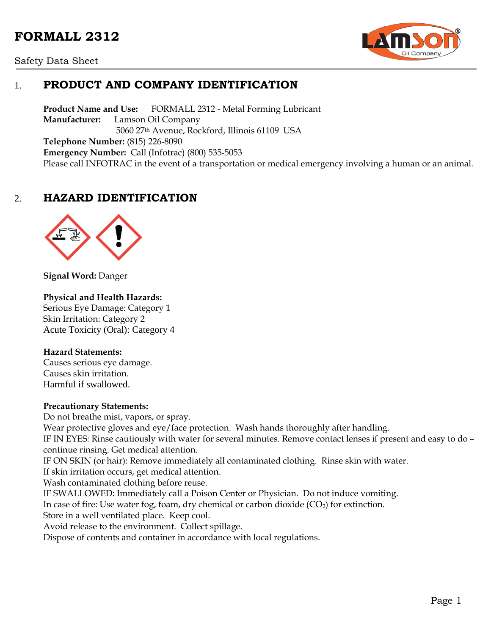# **FORMALL 2312**





## 1. **PRODUCT AND COMPANY IDENTIFICATION**

**Product Name and Use:** FORMALL 2312 - Metal Forming Lubricant **Manufacturer:** Lamson Oil Company 5060 27th Avenue, Rockford, Illinois 61109 USA **Telephone Number:** (815) 226-8090 **Emergency Number:** Call (Infotrac) (800) 535-5053 Please call INFOTRAC in the event of a transportation or medical emergency involving a human or an animal.

## 2. **HAZARD IDENTIFICATION**



**Signal Word:** Danger

#### **Physical and Health Hazards:**

Serious Eye Damage: Category 1 Skin Irritation: Category 2 Acute Toxicity (Oral): Category 4

#### **Hazard Statements:**

Causes serious eye damage. Causes skin irritation. Harmful if swallowed.

#### **Precautionary Statements:**

Do not breathe mist, vapors, or spray. Wear protective gloves and eye/face protection. Wash hands thoroughly after handling. IF IN EYES: Rinse cautiously with water for several minutes. Remove contact lenses if present and easy to do – continue rinsing. Get medical attention. IF ON SKIN (or hair): Remove immediately all contaminated clothing. Rinse skin with water. If skin irritation occurs, get medical attention. Wash contaminated clothing before reuse. IF SWALLOWED: Immediately call a Poison Center or Physician. Do not induce vomiting. In case of fire: Use water fog, foam, dry chemical or carbon dioxide  $(CO<sub>2</sub>)$  for extinction. Store in a well ventilated place. Keep cool. Avoid release to the environment. Collect spillage. Dispose of contents and container in accordance with local regulations.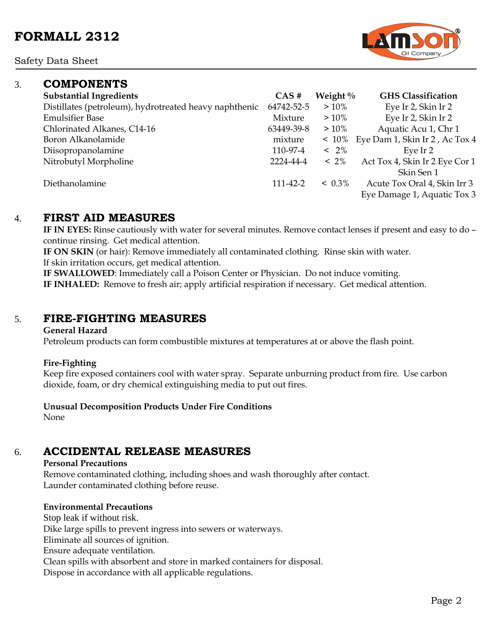Safety Data Sheet

### 3. **COMPONENTS**

| <b>Substantial Ingredients</b>                         | CAS#       | Weight $\%$ | <b>GHS</b> Classification      |
|--------------------------------------------------------|------------|-------------|--------------------------------|
| Distillates (petroleum), hydrotreated heavy naphthenic | 64742-52-5 | $>10\%$     | Eye Ir 2, Skin Ir 2            |
| <b>Emulsifier Base</b>                                 | Mixture    | $>10\%$     | Eye Ir 2, Skin Ir 2            |
| Chlorinated Alkanes, C14-16                            | 63449-39-8 | $>10\%$     | Aquatic Acu 1, Chr 1           |
| Boron Alkanolamide                                     | mixture    | $~10\%$     | Eye Dam 1, Skin Ir 2, Ac Tox 4 |
| Diisopropanolamine                                     | 110-97-4   | $< 2\%$     | Eve Ir 2                       |
| Nitrobutyl Morpholine                                  | 2224-44-4  | $~12\%$     | Act Tox 4, Skin Ir 2 Eye Cor 1 |
|                                                        |            |             | Skin Sen 1                     |
| Diethanolamine                                         | 111-42-2   | $< 0.3\%$   | Acute Tox Oral 4, Skin Irr 3   |
|                                                        |            |             | Eye Damage 1, Aquatic Tox 3    |
|                                                        |            |             |                                |

### 4. **FIRST AID MEASURES**

**IF IN EYES:** Rinse cautiously with water for several minutes. Remove contact lenses if present and easy to do – continue rinsing. Get medical attention.

**IF ON SKIN** (or hair): Remove immediately all contaminated clothing. Rinse skin with water. If skin irritation occurs, get medical attention.

**IF SWALLOWED**: Immediately call a Poison Center or Physician. Do not induce vomiting. **IF INHALED:** Remove to fresh air; apply artificial respiration if necessary. Get medical attention.

### 5. **FIRE-FIGHTING MEASURES**

#### **General Hazard**

Petroleum products can form combustible mixtures at temperatures at or above the flash point.

#### **Fire-Fighting**

Keep fire exposed containers cool with water spray. Separate unburning product from fire. Use carbon dioxide, foam, or dry chemical extinguishing media to put out fires.

#### **Unusual Decomposition Products Under Fire Conditions**

None

# 6. **ACCIDENTAL RELEASE MEASURES**

#### **Personal Precautions**

Remove contaminated clothing, including shoes and wash thoroughly after contact. Launder contaminated clothing before reuse.

### **Environmental Precautions**

Stop leak if without risk. Dike large spills to prevent ingress into sewers or waterways. Eliminate all sources of ignition. Ensure adequate ventilation. Clean spills with absorbent and store in marked containers for disposal. Dispose in accordance with all applicable regulations.

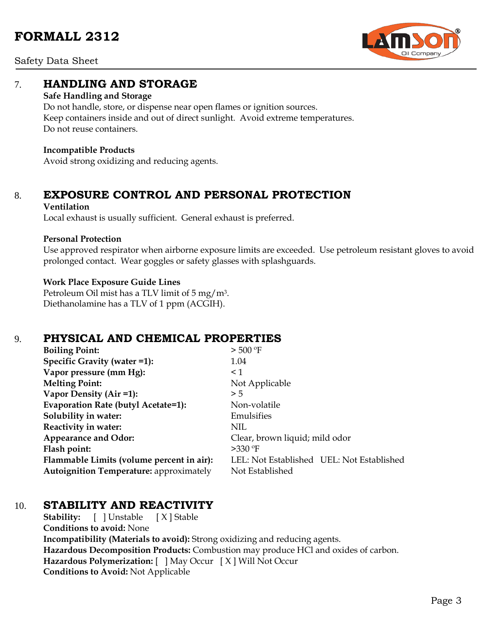

Safety Data Sheet

### 7. **HANDLING AND STORAGE**

#### **Safe Handling and Storage**

Do not handle, store, or dispense near open flames or ignition sources. Keep containers inside and out of direct sunlight. Avoid extreme temperatures. Do not reuse containers.

#### **Incompatible Products**

Avoid strong oxidizing and reducing agents.

# 8. **EXPOSURE CONTROL AND PERSONAL PROTECTION**

#### **Ventilation**

Local exhaust is usually sufficient. General exhaust is preferred.

#### **Personal Protection**

Use approved respirator when airborne exposure limits are exceeded. Use petroleum resistant gloves to avoid prolonged contact. Wear goggles or safety glasses with splashguards.

#### **Work Place Exposure Guide Lines**

Petroleum Oil mist has a TLV limit of 5 mg/m3. Diethanolamine has a TLV of 1 ppm (ACGIH).

## 9. **PHYSICAL AND CHEMICAL PROPERTIES**

| <b>Boiling Point:</b>                          | $>$ 500 °F                                |
|------------------------------------------------|-------------------------------------------|
| Specific Gravity (water =1):                   | 1.04                                      |
| Vapor pressure (mm Hg):                        | $\leq 1$                                  |
| <b>Melting Point:</b>                          | Not Applicable                            |
| Vapor Density (Air =1):                        | > 5                                       |
| Evaporation Rate (butyl Acetate=1):            | Non-volatile                              |
| Solubility in water:                           | Emulsifies                                |
| Reactivity in water:                           | NIL                                       |
| <b>Appearance and Odor:</b>                    | Clear, brown liquid; mild odor            |
| Flash point:                                   | $>330$ °F                                 |
| Flammable Limits (volume percent in air):      | LEL: Not Established UEL: Not Established |
| <b>Autoignition Temperature:</b> approximately | Not Established                           |

### 10. **STABILITY AND REACTIVITY**

**Stability:** [ ] Unstable [ X ] Stable **Conditions to avoid:** None **Incompatibility (Materials to avoid):** Strong oxidizing and reducing agents. **Hazardous Decomposition Products:** Combustion may produce HCl and oxides of carbon. **Hazardous Polymerization:** [ ] May Occur [ X ] Will Not Occur **Conditions to Avoid:** Not Applicable